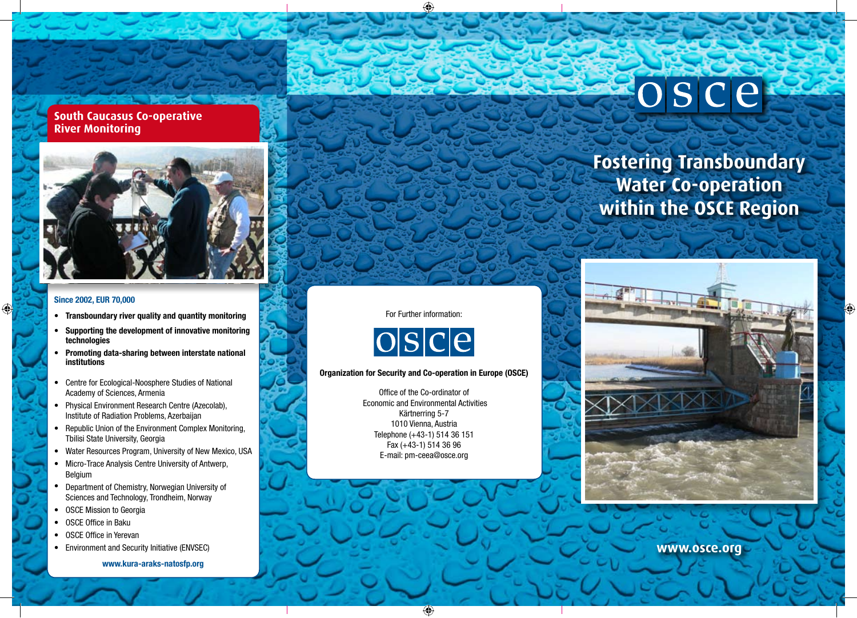# **South Caucasus Co-operative River Monitoring**



### **Since 2002, EUR 70,000**

⊕

- **Transboundary river quality and quantity monitoring**
- **Supporting the development of innovative monitoring technologies**
- **Promoting data-sharing between interstate national institutions**
- Centre for Ecological-Noosphere Studies of National Academy of Sciences, Armenia
- Physical Environment Research Centre (Azecolab), Institute of Radiation Problems, Azerbaijan
- Republic Union of the Environment Complex Monitoring, Tbilisi State University, Georgia
- Water Resources Program, University of New Mexico, USA
- Micro-Trace Analysis Centre University of Antwerp, Belgium
- Department of Chemistry, Norwegian University of Sciences and Technology, Trondheim, Norway
- OSCE Mission to Georgia
- OSCE Office in Baku
- OSCE Office in Yerevan
- Environment and Security Initiative (ENVSEC)

**www.kura-araks-natosfp.org**

### For Further information:



### **Organization for Security and Co-operation in Europe (OSCE)**

Office of the Co-ordinator of Economic and Environmental Activities Kärtnerring 5-7 1010 Vienna, Austria Telephone (+43-1) 514 36 151 Fax (+43-1) 514 36 96 E-mail: pm-ceea@osce.org



O

osce



**www.osce.org**